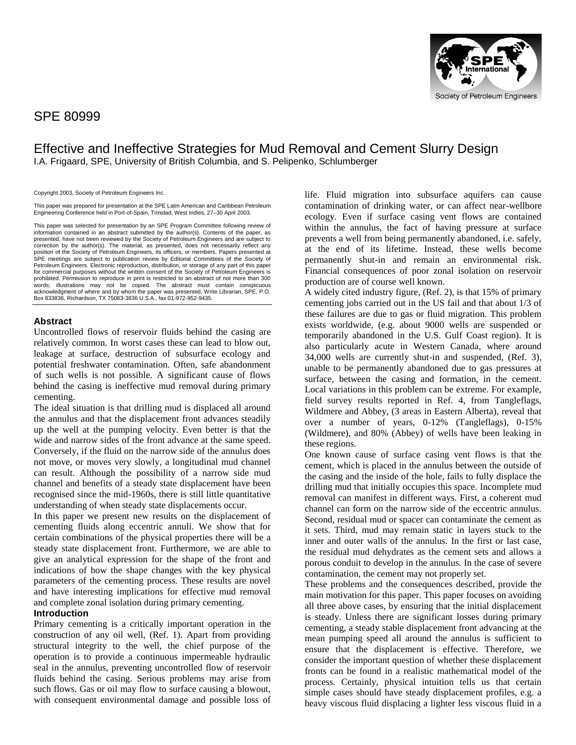# Society of Petroleum Engineers

# SPE 80999

# Effective and Ineffective Strategies for Mud Removal and Cement Slurry Design I.A. Frigaard, SPE, University of British Columbia, and S. Pelipenko, Schlumberger

Copyright 2003, Society of Petroleum Engineers Inc.

This paper was prepared for presentation at the SPE Latin American and Caribbean Petroleum Engineering Conference held in Port-of-Spain, Trinidad, West Indies, 27–30 April 2003.

This paper was selected for presentation by an SPE Program Committee following review of information contained in an abstract submitted by the author(s). Contents of the paper, as presented, have not been reviewed by the Society of Petroleum Engineers and are subject to correction by the author(s). The material, as presented, does not necessarily reflect any position of the Society of Petroleum Engineers, its officers, or members. Papers presented at SPE meetings are subject to publication review by Editorial Committees of the Society of Petroleum Engineers. Electronic reproduction, distribution, or storage of any part of this paper for commercial purposes without the written consent of the Society of Petroleum Engineers is prohibited. Permission to reproduce in print is restricted to an abstract of not more than 300 words; illustrations may not be copied. The abstract must contain conspicuous acknowledgment of where and by whom the paper was presented. Write Librarian, SPE, P.O. Box 833836, Richardson, TX 75083-3836 U.S.A., fax 01-972-952-9435.

# **Abstract**

Uncontrolled flows of reservoir fluids behind the casing are relatively common. In worst cases these can lead to blow out, leakage at surface, destruction of subsurface ecology and potential freshwater contamination. Often, safe abandonment of such wells is not possible. A significant cause of flows behind the casing is ineffective mud removal during primary cementing.

The ideal situation is that drilling mud is displaced all around the annulus and that the displacement front advances steadily up the well at the pumping velocity. Even better is that the wide and narrow sides of the front advance at the same speed. Conversely, if the fluid on the narrow side of the annulus does not move, or moves very slowly, a longitudinal mud channel can result. Although the possibility of a narrow side mud channel and benefits of a steady state displacement have been recognised since the mid-1960s, there is still little quantitative understanding of when steady state displacements occur.

In this paper we present new results on the displacement of cementing fluids along eccentric annuli. We show that for certain combinations of the physical properties there will be a steady state displacement front. Furthermore, we are able to give an analytical expression for the shape of the front and indications of how the shape changes with the key physical parameters of the cementing process. These results are novel and have interesting implications for effective mud removal and complete zonal isolation during primary cementing.

# **Introduction**

Primary cementing is a critically important operation in the construction of any oil well, (Ref. 1). Apart from providing structural integrity to the well, the chief purpose of the operation is to provide a continuous impermeable hydraulic seal in the annulus, preventing uncontrolled flow of reservoir fluids behind the casing. Serious problems may arise from such flows. Gas or oil may flow to surface causing a blowout, with consequent environmental damage and possible loss of life. Fluid migration into subsurface aquifers can cause contamination of drinking water, or can affect near-wellbore ecology. Even if surface casing vent flows are contained within the annulus, the fact of having pressure at surface prevents a well from being permanently abandoned, i.e. safely, at the end of its lifetime. Instead, these wells become permanently shut-in and remain an environmental risk. Financial consequences of poor zonal isolation on reservoir production are of course well known.

A widely cited industry figure, (Ref. 2), is that 15% of primary cementing jobs carried out in the US fail and that about 1/3 of these failures are due to gas or fluid migration. This problem exists worldwide, (e.g. about 9000 wells are suspended or temporarily abandoned in the U.S. Gulf Coast region). It is also particularly acute in Western Canada, where around 34,000 wells are currently shut-in and suspended, (Ref. 3), unable to be permanently abandoned due to gas pressures at surface, between the casing and formation, in the cement. Local variations in this problem can be extreme. For example, field survey results reported in Ref. 4, from Tangleflags, Wildmere and Abbey, (3 areas in Eastern Alberta), reveal that over a number of years, 0-12% (Tangleflags), 0-15% (Wildmere), and 80% (Abbey) of wells have been leaking in these regions.

One known cause of surface casing vent flows is that the cement, which is placed in the annulus between the outside of the casing and the inside of the hole, fails to fully displace the drilling mud that initially occupies this space. Incomplete mud removal can manifest in different ways. First, a coherent mud channel can form on the narrow side of the eccentric annulus. Second, residual mud or spacer can contaminate the cement as it sets. Third, mud may remain static in layers stuck to the inner and outer walls of the annulus. In the first or last case, the residual mud dehydrates as the cement sets and allows a porous conduit to develop in the annulus. In the case of severe contamination, the cement may not properly set.

These problems and the consequences described, provide the main motivation for this paper. This paper focuses on avoiding all three above cases, by ensuring that the initial displacement is steady. Unless there are significant losses during primary cementing, a steady stable displacement front advancing at the mean pumping speed all around the annulus is sufficient to ensure that the displacement is effective. Therefore, we consider the important question of whether these displacement fronts can be found in a realistic mathematical model of the process. Certainly, physical intuition tells us that certain simple cases should have steady displacement profiles, e.g. a heavy viscous fluid displacing a lighter less viscous fluid in a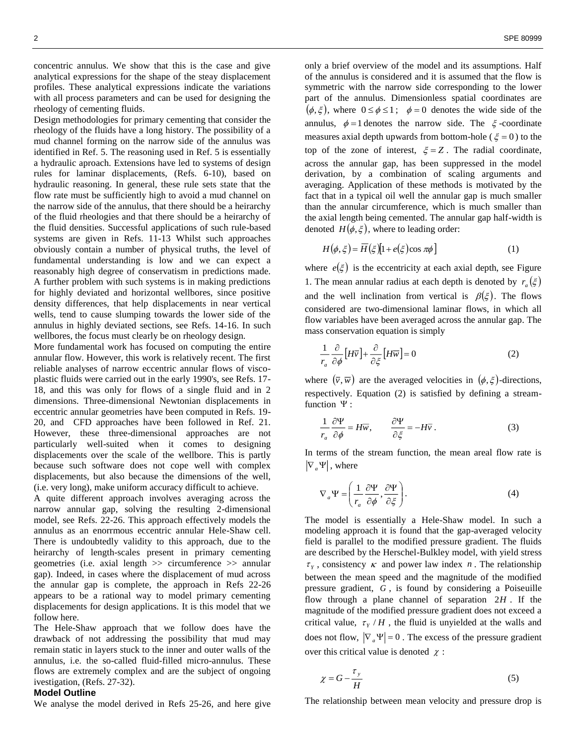concentric annulus. We show that this is the case and give analytical expressions for the shape of the steay displacement profiles. These analytical expressions indicate the variations with all process parameters and can be used for designing the rheology of cementing fluids.

Design methodologies for primary cementing that consider the rheology of the fluids have a long history. The possibility of a mud channel forming on the narrow side of the annulus was identified in Ref. 5. The reasoning used in Ref. 5 is essentially a hydraulic aproach. Extensions have led to systems of design rules for laminar displacements, (Refs. 6-10), based on hydraulic reasoning. In general, these rule sets state that the flow rate must be sufficiently high to avoid a mud channel on the narrow side of the annulus, that there should be a heirarchy of the fluid rheologies and that there should be a heirarchy of the fluid densities. Successful applications of such rule-based systems are given in Refs. 11-13 Whilst such approaches obviously contain a number of physical truths, the level of fundamental understanding is low and we can expect a reasonably high degree of conservatism in predictions made. A further problem with such systems is in making predictions for highly deviated and horizontal wellbores, since positive density differences, that help displacements in near vertical wells, tend to cause slumping towards the lower side of the annulus in highly deviated sections, see Refs. 14-16. In such wellbores, the focus must clearly be on rheology design.

More fundamental work has focused on computing the entire annular flow. However, this work is relatively recent. The first reliable analyses of narrow eccentric annular flows of viscoplastic fluids were carried out in the early 1990's, see Refs. 17- 18, and this was only for flows of a single fluid and in 2 dimensions. Three-dimensional Newtonian displacements in eccentric annular geometries have been computed in Refs. 19- 20, and CFD approaches have been followed in Ref. 21. However, these three-dimensional approaches are not particularly well-suited when it comes to designing displacements over the scale of the wellbore. This is partly because such software does not cope well with complex displacements, but also because the dimensions of the well, (i.e. very long), make uniform accuracy difficult to achieve.

A quite different approach involves averaging across the narrow annular gap, solving the resulting 2-dimensional model, see Refs. 22-26. This approach effectively models the annulus as an enorrmous eccentric annular Hele-Shaw cell. There is undoubtedly validity to this approach, due to the heirarchy of length-scales present in primary cementing geometries (i.e. axial length >> circumference >> annular gap). Indeed, in cases where the displacement of mud across the annular gap is complete, the approach in Refs 22-26 appears to be a rational way to model primary cementing displacements for design applications. It is this model that we follow here.

The Hele-Shaw approach that we follow does have the drawback of not addressing the possibility that mud may remain static in layers stuck to the inner and outer walls of the annulus, i.e. the so-called fluid-filled micro-annulus. These flows are extremely complex and are the subject of ongoing ivestigation, (Refs. 27-32).

# **Model Outline**

We analyse the model derived in Refs 25-26, and here give

only a brief overview of the model and its assumptions. Half of the annulus is considered and it is assumed that the flow is symmetric with the narrow side corresponding to the lower part of the annulus. Dimensionless spatial coordinates are  $(\phi, \xi)$ , where  $0 \le \phi \le 1$ ;  $\phi = 0$  denotes the wide side of the annulus,  $\phi = 1$  denotes the narrow side. The  $\xi$ -coordinate measures axial depth upwards from bottom-hole ( $\xi = 0$ ) to the top of the zone of interest,  $\xi = Z$ . The radial coordinate, across the annular gap, has been suppressed in the model derivation, by a combination of scaling arguments and averaging. Application of these methods is motivated by the fact that in a typical oil well the annular gap is much smaller than the annular circumference, which is much smaller than the axial length being cemented. The annular gap half-width is denoted  $H(\phi, \xi)$ , where to leading order:

$$
H(\phi,\xi) = \overline{H}(\xi)[1 + e(\xi)\cos \pi\phi]
$$
 (1)

where  $e(\xi)$  is the eccentricity at each axial depth, see Figure 1. The mean annular radius at each depth is denoted by  $r_a(\xi)$ and the well inclination from vertical is  $\beta(\xi)$ . The flows considered are two-dimensional laminar flows, in which all flow variables have been averaged across the annular gap. The mass conservation equation is simply

$$
\frac{1}{r_a} \frac{\partial}{\partial \phi} \left[ H \overline{\nu} \right] + \frac{\partial}{\partial \xi} \left[ H \overline{\nu} \right] = 0 \tag{2}
$$

where  $(\overline{v}, \overline{w})$  are the averaged velocities in  $(\phi, \xi)$ -directions, respectively. Equation (2) is satisfied by defining a streamfunction  $\Psi$ :

$$
\frac{1}{r_a} \frac{\partial \Psi}{\partial \phi} = H \overline{w}, \qquad \frac{\partial \Psi}{\partial \xi} = -H \overline{v} . \tag{3}
$$

In terms of the stream function, the mean areal flow rate is  $\nabla_a \Psi$ , where

$$
\nabla_a \Psi = \left( \frac{1}{r_a} \frac{\partial \Psi}{\partial \phi}, \frac{\partial \Psi}{\partial \xi} \right). \tag{4}
$$

The model is essentially a Hele-Shaw model. In such a modeling approach it is found that the gap-averaged velocity field is parallel to the modified pressure gradient. The fluids are described by the Herschel-Bulkley model, with yield stress  $\tau_Y$ , consistency  $\kappa$  and power law index *n*. The relationship between the mean speed and the magnitude of the modified pressure gradient, *G* , is found by considering a Poiseuille flow through a plane channel of separation 2*H* . If the magnitude of the modified pressure gradient does not exceed a critical value,  $\tau_Y / H$ , the fluid is unyielded at the walls and does not flow,  $|\nabla_a \Psi| = 0$ . The excess of the pressure gradient over this critical value is denoted  $\chi$ :

$$
\chi = G - \frac{\tau_y}{H} \tag{5}
$$

The relationship between mean velocity and pressure drop is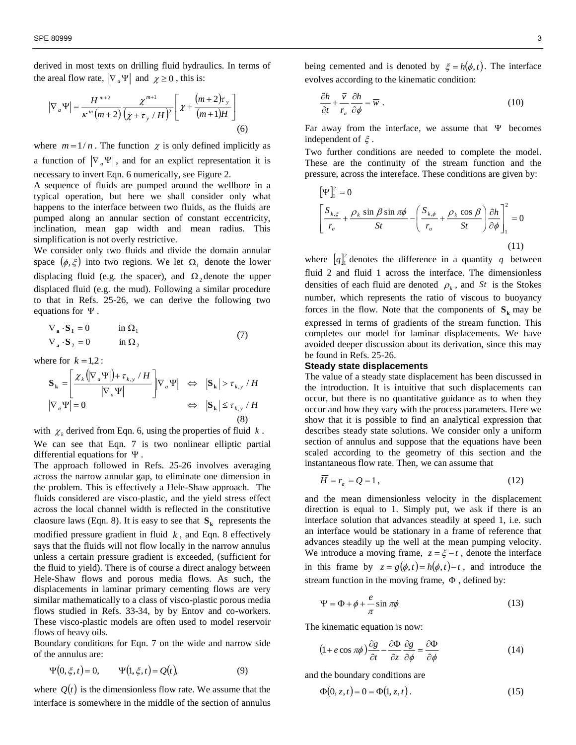derived in most texts on drilling fluid hydraulics. In terms of the areal flow rate,  $|\nabla_a \Psi|$  and  $\chi \ge 0$ , this is:

$$
\left|\nabla_{a}\Psi\right| = \frac{H^{m+2}}{\kappa^{m}(m+2)} \frac{\chi^{m+1}}{(\chi + \tau_{y} / H)^{2}} \left[\chi + \frac{(m+2)\tau_{y}}{(m+1)H}\right]
$$
(6)

where  $m = 1/n$ . The function  $\chi$  is only defined implicitly as a function of  $|\nabla_a \Psi|$ , and for an explict representation it is necessary to invert Eqn. 6 numerically, see Figure 2.

A sequence of fluids are pumped around the wellbore in a typical operation, but here we shall consider only what happens to the interface between two fluids, as the fluids are pumped along an annular section of constant eccentricity, inclination, mean gap width and mean radius. This simplification is not overly restrictive.

We consider only two fluids and divide the domain annular space  $(\phi, \xi)$  into two regions. We let  $\Omega_1$  denote the lower displacing fluid (e.g. the spacer), and  $\Omega_2$  denote the upper displaced fluid (e.g. the mud). Following a similar procedure to that in Refs. 25-26, we can derive the following two equations for  $\Psi$ .

$$
\nabla_{\mathbf{a}} \cdot \mathbf{S}_1 = 0 \qquad \text{in } \Omega_1
$$
  

$$
\nabla_{\mathbf{a}} \cdot \mathbf{S}_2 = 0 \qquad \text{in } \Omega_2
$$
 (7)

where for  $k = 1,2$ :

$$
\mathbf{S}_{\mathbf{k}} = \left[ \frac{\chi_{k} (\nabla_{a} \Psi) + \tau_{k,y} / H}{|\nabla_{a} \Psi|} \right] |\nabla_{a} \Psi| \Leftrightarrow |\mathbf{S}_{\mathbf{k}}| > \tau_{k,y} / H
$$
  
\n
$$
|\nabla_{a} \Psi| = 0 \Leftrightarrow |\mathbf{S}_{\mathbf{k}}| \le \tau_{k,y} / H
$$
  
\n(8)

with  $\chi_k$  derived from Eqn. 6, using the properties of fluid  $k$ . We can see that Eqn. 7 is two nonlinear elliptic partial differential equations for  $\Psi$ .

The approach followed in Refs. 25-26 involves averaging across the narrow annular gap, to eliminate one dimension in the problem. This is effectively a Hele-Shaw approach. The fluids considered are visco-plastic, and the yield stress effect across the local channel width is reflected in the constitutive claosure laws (Eqn. 8). It is easy to see that  $S_k$  represents the modified pressure gradient in fluid  $k$ , and Eqn. 8 effectively says that the fluids will not flow locally in the narrow annulus unless a certain pressure gradient is exceeded, (sufficient for the fluid to yield). There is of course a direct analogy between Hele-Shaw flows and porous media flows. As such, the displacements in laminar primary cementing flows are very similar mathematically to a class of visco-plastic porous media flows studied in Refs. 33-34, by by Entov and co-workers. These visco-plastic models are often used to model reservoir flows of heavy oils.

Boundary conditions for Eqn. 7 on the wide and narrow side of the annulus are:

$$
\Psi(0,\xi,t) = 0, \qquad \Psi(1,\xi,t) = Q(t), \tag{9}
$$

where  $Q(t)$  is the dimensionless flow rate. We assume that the interface is somewhere in the middle of the section of annulus

being cemented and is denoted by  $\xi = h(\phi, t)$ . The interface evolves according to the kinematic condition:

$$
\frac{\partial h}{\partial t} + \frac{\overline{v}}{r_a} \frac{\partial h}{\partial \phi} = \overline{w} \ . \tag{10}
$$

Far away from the interface, we assume that  $\Psi$  becomes independent of  $\xi$ .

Two further conditions are needed to complete the model. These are the continuity of the stream function and the pressure, across the intereface. These conditions are given by:

$$
\left[\Psi\right]_{1}^{2} = 0
$$
\n
$$
\left[\frac{S_{k,\xi}}{r_a} + \frac{\rho_k \sin \beta \sin \pi \phi}{St} - \left(\frac{S_{k,\phi}}{r_a} + \frac{\rho_k \cos \beta}{St}\right) \frac{\partial h}{\partial \phi}\right]_{1}^{2} = 0
$$
\n(11)

where  $[q]_1^2$  denotes the difference in a quantity q between fluid 2 and fluid 1 across the interface. The dimensionless densities of each fluid are denoted  $\rho_k$ , and *St* is the Stokes number, which represents the ratio of viscous to buoyancy forces in the flow. Note that the components of  $S_k$  may be expressed in terms of gradients of the stream function. This completes our model for laminar displacements. We have avoided deeper discussion about its derivation, since this may be found in Refs. 25-26.

# **Steady state displacements**

The value of a steady state displacement has been discussed in the introduction. It is intuitive that such displacements can occur, but there is no quantitative guidance as to when they occur and how they vary with the process parameters. Here we show that it is possible to find an analytical expression that describes steady state solutions. We consider only a uniform section of annulus and suppose that the equations have been scaled according to the geometry of this section and the instantaneous flow rate. Then, we can assume that

$$
\overline{H} = r_a = Q = 1, \qquad (12)
$$

and the mean dimensionless velocity in the displacement direction is equal to 1. Simply put, we ask if there is an interface solution that advances steadily at speed 1, i.e. such an interface would be stationary in a frame of reference that advances steadily up the well at the mean pumping velocity. We introduce a moving frame,  $z = \xi - t$ , denote the interface in this frame by  $z = g(\phi, t) = h(\phi, t) - t$ , and introduce the stream function in the moving frame,  $\Phi$ , defined by:

$$
\Psi = \Phi + \phi + \frac{e}{\pi} \sin \pi \phi \tag{13}
$$

The kinematic equation is now:

$$
(1 + e \cos \pi \phi) \frac{\partial g}{\partial t} - \frac{\partial \Phi}{\partial z} \frac{\partial g}{\partial \phi} = \frac{\partial \Phi}{\partial \phi}
$$
(14)

and the boundary conditions are

$$
\Phi(0, z, t) = 0 = \Phi(1, z, t).
$$
\n(15)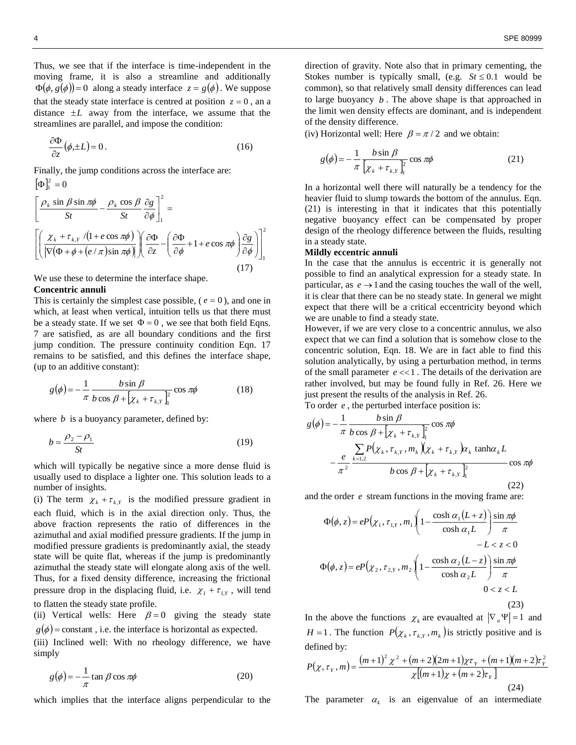Thus, we see that if the interface is time-independent in the moving frame, it is also a streamline and additionally  $\Phi(\phi, g(\phi)) = 0$  along a steady interface  $z = g(\phi)$ . We suppose that the steady state interface is centred at position  $z = 0$ , an a distance  $\pm L$  away from the interface, we assume that the streamlines are parallel, and impose the condition:

$$
\frac{\partial \Phi}{\partial z}(\phi, \pm L) = 0. \tag{16}
$$

Finally, the jump conditions across the interface are:  $[\Phi]_1^2 = 0$ 

$$
\left[\frac{\rho_k \sin \beta \sin \pi \phi}{St} - \frac{\rho_k \cos \beta}{St} \frac{\partial g}{\partial \phi}\right]_1^2 = \left[\left(\frac{\chi_k + \tau_{k,Y} / (1 + e \cos \pi \phi)}{|\nabla (\Phi + \phi + (e/\pi) \sin \pi \phi)|}\right) \left(\frac{\partial \Phi}{\partial z} - \left(\frac{\partial \Phi}{\partial \phi} + 1 + e \cos \pi \phi\right) \frac{\partial g}{\partial \phi}\right)\right]_1^2
$$
\n(17)

We use these to determine the interface shape.

# **Concentric annuli**

This is certainly the simplest case possible,  $(e = 0)$ , and one in which, at least when vertical, intuition tells us that there must be a steady state. If we set  $\Phi = 0$ , we see that both field Eqns. 7 are satisfied, as are all boundary conditions and the first jump condition. The pressure continuity condition Eqn. 17 remains to be satisfied, and this defines the interface shape, (up to an additive constant):

$$
g(\phi) = -\frac{1}{\pi} \frac{b \sin \beta}{b \cos \beta + \left[\chi_k + \tau_{k,Y}\right]_1^2} \cos \pi \phi \tag{18}
$$

where  $b$  is a buoyancy parameter, defined by:

$$
b = \frac{\rho_2 - \rho_1}{St} \tag{19}
$$

which will typically be negative since a more dense fluid is usually used to displace a lighter one. This solution leads to a number of insights.

(i) The term  $\chi_k + \tau_{k,Y}$  is the modified pressure gradient in each fluid, which is in the axial direction only. Thus, the above fraction represents the ratio of differences in the azimuthal and axial modified pressure gradients. If the jump in modified pressure gradients is predominantly axial, the steady state will be quite flat, whereas if the jump is predominantly azimuthal the steady state will elongate along axis of the well. Thus, for a fixed density difference, increasing the frictional pressure drop in the displacing fluid, i.e.  $\chi_1 + \tau_{1,Y}$ , will tend to flatten the steady state profile.

(ii) Vertical wells: Here  $\beta = 0$  giving the steady state  $g(\phi)$  = constant, i.e. the interface is horizontal as expected.

(iii) Inclined well: With no rheology difference, we have simply

$$
g(\phi) = -\frac{1}{\pi} \tan \beta \cos \pi \phi \tag{20}
$$

which implies that the interface aligns perpendicular to the

direction of gravity. Note also that in primary cementing, the Stokes number is typically small, (e.g.  $St \leq 0.1$  would be common), so that relatively small density differences can lead to large buoyancy *b* . The above shape is that approached in the limit wen density effects are dominant, and is independent of the density difference.

(iv) Horizontal well: Here  $\beta = \pi/2$  and we obtain:

$$
g(\phi) = -\frac{1}{\pi} \frac{b \sin \beta}{\left[\chi_k + \tau_{k,Y}\right]_1^2} \cos \pi \phi
$$
 (21)

In a horizontal well there will naturally be a tendency for the heavier fluid to slump towards the bottom of the annulus. Eqn. (21) is interesting in that it indicates that this potentially negative buoyancy effect can be compensated by proper design of the rheology difference between the fluids, resulting in a steady state.

# **Mildly eccentric annuli**

In the case that the annulus is eccentric it is generally not possible to find an analytical expression for a steady state. In particular, as  $e \rightarrow 1$  and the casing touches the wall of the well, it is clear that there can be no steady state. In general we might expect that there will be a critical eccentricity beyond which we are unable to find a steady state.

However, if we are very close to a concentric annulus, we also expect that we can find a solution that is somehow close to the concentric solution, Eqn. 18. We are in fact able to find this solution analytically, by using a perturbation method, in terms of the small parameter  $e \ll 1$ . The details of the derivation are rather involved, but may be found fully in Ref. 26. Here we just present the results of the analysis in Ref. 26.

To order *e* , the perturbed interface position is:

$$
g(\phi) = -\frac{1}{\pi} \frac{b \sin \beta}{b \cos \beta + [\chi_k + \tau_{k,Y}]_1^2} \cos \pi \phi
$$
  

$$
-\frac{e}{\pi^2} \frac{\sum_{k=1,2} P(\chi_k, \tau_{k,Y}, m_k) (\chi_k + \tau_{k,Y}) \alpha_k \tanh \alpha_k L}{b \cos \beta + [\chi_k + \tau_{k,Y}]_1^2} \cos \pi \phi
$$
(22)

and the order *e* stream functions in the moving frame are:

$$
\Phi(\phi, z) = eP(\chi_1, \tau_{1,Y}, m_1) \left( 1 - \frac{\cosh \alpha_1 (L + z)}{\cosh \alpha_1 L} \right) \frac{\sin \pi \phi}{\pi}
$$
  
-L < z < 0  

$$
\Phi(\phi, z) = eP(\chi_2, \tau_{2,Y}, m_2) \left( 1 - \frac{\cosh \alpha_2 (L - z)}{\cosh \alpha_2 L} \right) \frac{\sin \pi \phi}{\pi}
$$
  
0 < z < L

(23)

In the above the functions  $\chi_k$  are evaualted at  $|\nabla_a \Psi| = 1$  and *H* = 1. The function  $P(\chi_k, \tau_{k,Y}, m_k)$  is strictly positive and is defined by:

$$
P(\chi, \tau_{Y}, m) = \frac{(m+1)^2 \chi^2 + (m+2)(2m+1)\chi \tau_{Y} + (m+1)(m+2)\tau_{Y}^2}{\chi[(m+1)\chi + (m+2)\tau_{Y}]} \tag{24}
$$

The parameter  $\alpha_k$  is an eigenvalue of an intermediate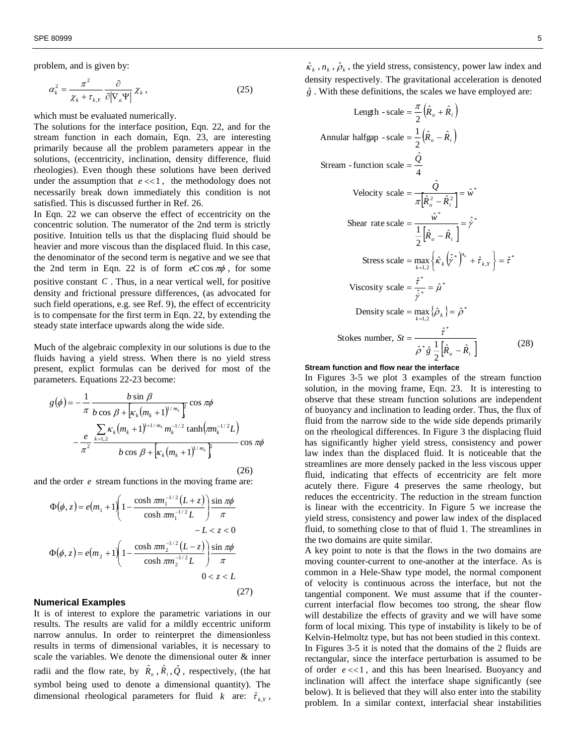problem, and is given by:

$$
\alpha_k^2 = \frac{\pi^2}{\chi_k + \tau_{k,Y}} \frac{\partial}{\partial |\nabla_a \Psi|} \chi_k, \qquad (25)
$$

which must be evaluated numerically.

The solutions for the interface position, Eqn. 22, and for the stream function in each domain, Eqn. 23, are interesting primarily because all the problem parameters appear in the solutions, (eccentricity, inclination, density difference, fluid rheologies). Even though these solutions have been derived under the assumption that  $e \ll 1$ , the methodology does not necessarily break down immediately this condition is not satisfied. This is discussed further in Ref. 26.

In Eqn. 22 we can observe the effect of eccentricity on the concentric solution. The numerator of the 2nd term is strictly positive. Intuition tells us that the displacing fluid should be heavier and more viscous than the displaced fluid. In this case, the denominator of the second term is negative and we see that the 2nd term in Eqn. 22 is of form  $eC \cos \pi \phi$ , for some positive constant *C* . Thus, in a near vertical well, for positive density and frictional pressure differences, (as advocated for such field operations, e.g. see Ref. 9), the effect of eccentricity is to compensate for the first term in Eqn. 22, by extending the steady state interface upwards along the wide side.

Much of the algebraic complexity in our solutions is due to the fluids having a yield stress. When there is no yield stress present, explict formulas can be derived for most of the parameters. Equations 22-23 become:

$$
g(\phi) = -\frac{1}{\pi} \frac{b \sin \beta}{b \cos \beta + \left[\kappa_k (m_k + 1)^{1/m_k}\right]^2} \cos \pi \phi
$$

$$
- \frac{e}{\pi^2} \frac{\sum_{k=1,2}^{\infty} \kappa_k (m_k + 1)^{1+1/m_k} m_k^{-1/2} \tanh\left(\pi m_k^{-1/2} L\right)}{b \cos \beta + \left[\kappa_k (m_k + 1)^{1/m_k}\right]^2} \cos \pi \phi
$$

(26)

(27)

and the order *e* stream functions in the moving frame are:

$$
\Phi(\phi, z) = e(m_1 + 1) \left( 1 - \frac{\cosh \pi m_1^{-1/2} (L + z)}{\cosh \pi m_1^{-1/2} L} \right) \frac{\sin \pi \phi}{\pi}
$$
  
-L < z < 0  

$$
\Phi(\phi, z) = e(m_2 + 1) \left( 1 - \frac{\cosh \pi m_2^{-1/2} (L - z)}{\cosh \pi m_2^{-1/2} L} \right) \frac{\sin \pi \phi}{\pi}
$$

$$
0 < z < L
$$

### **Numerical Examples**

It is of interest to explore the parametric variations in our results. The results are valid for a mildly eccentric uniform narrow annulus. In order to reinterpret the dimensionless results in terms of dimensional variables, it is necessary to scale the variables. We denote the dimensional outer & inner radii and the flow rate, by  $\hat{R}_o$ ,  $\hat{R}_i$ ,  $\hat{Q}$ , respectively, (the hat symbol being used to denote a dimensional quantity). The dimensional rheological parameters for fluid  $k$  are:  $\hat{\tau}_{k, y}$ ,

 $\hat{\kappa}_k$ ,  $n_k$ ,  $\hat{\rho}_k$ , the yield stress, consistency, power law index and density respectively. The gravitational acceleration is denoted  $\hat{g}$ . With these definitions, the scales we have employed are:

Length - scale = 
$$
\frac{\pi}{2} (\hat{R}_o + \hat{R}_i)
$$
  
\nAnnualar halfgap - scale =  $\frac{1}{2} (\hat{R}_o - \hat{R}_i)$   
\nStream - function scale =  $\frac{\hat{Q}}{4}$   
\nVelocity scale =  $\frac{\hat{Q}}{\pi [\hat{R}_o^2 - \hat{R}_i^2]} = \hat{w}^*$   
\nShear rate scale =  $\frac{\hat{w}^*}{\frac{1}{2} [\hat{R}_o - \hat{R}_i]} = \hat{y}^*$   
\nStress scale =  $\max_{k=1,2} {\{\hat{\kappa}_k (\hat{y}^*)^{n_k} + \hat{\tau}_{k,Y}\}} = \hat{\tau}^*$   
\nViscosity scale =  $\frac{\hat{\tau}^*}{\hat{y}^*} = \hat{\mu}^*$   
\nDensity scale =  $\max_{k=1,2} {\{\hat{\rho}_k\}} = \hat{\rho}^*$   
\nStokes number,  $St = \frac{\hat{\tau}^*}{\hat{\rho}^* \hat{g}^* \frac{1}{2} [\hat{R}_o - \hat{R}_i]}$  (28)

# **Stream function and flow near the interface**

In Figures 3-5 we plot 3 examples of the stream function solution, in the moving frame, Eqn. 23. It is interesting to observe that these stream function solutions are independent of buoyancy and inclination to leading order. Thus, the flux of fluid from the narrow side to the wide side depends primarily on the rheological differences. In Figure 3 the displacing fluid has significantly higher yield stress, consistency and power law index than the displaced fluid. It is noticeable that the streamlines are more densely packed in the less viscous upper fluid, indicating that effects of eccentricity are felt more acutely there. Figure 4 preserves the same rheology, but reduces the eccentricity. The reduction in the stream function is linear with the eccentricity. In Figure 5 we increase the yield stress, consistency and power law index of the displaced fluid, to something close to that of fluid 1. The streamlines in the two domains are quite similar.

A key point to note is that the flows in the two domains are moving counter-current to one-another at the interface. As is common in a Hele-Shaw type model, the normal component of velocity is continuous across the interface, but not the tangential component. We must assume that if the countercurrent interfacial flow becomes too strong, the shear flow will destabilize the effects of gravity and we will have some form of local mixing. This type of instability is likely to be of Kelvin-Helmoltz type, but has not been studied in this context. In Figures 3-5 it is noted that the domains of the 2 fluids are rectangular, since the interface perturbation is assumed to be of order  $e \ll 1$ , and this has been lnearised. Buoyancy and inclination will affect the interface shape significantly (see below). It is believed that they will also enter into the stability problem. In a similar context, interfacial shear instabilities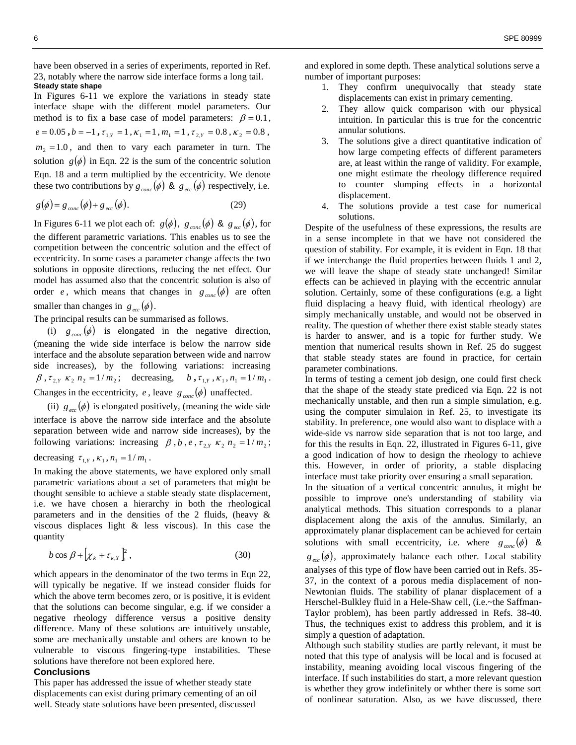have been observed in a series of experiments, reported in Ref. 23, notably where the narrow side interface forms a long tail. **Steady state shape**

In Figures 6-11 we explore the variations in steady state interface shape with the different model parameters. Our method is to fix a base case of model parameters:  $\beta = 0.1$ ,  $e = 0.05$ ,  $b = -1$ ,  $\tau_{1,Y} = 1$ ,  $\kappa_1 = 1$ ,  $m_1 = 1$ ,  $\tau_{2,Y} = 0.8$ ,  $\kappa_2 = 0.8$ ,  $m<sub>2</sub> = 1.0$ , and then to vary each parameter in turn. The solution  $g(\phi)$  in Eqn. 22 is the sum of the concentric solution Eqn. 18 and a term multiplied by the eccentricity. We denote these two contributions by  $g_{\text{conc}}(\phi)$  &  $g_{\text{ecc}}(\phi)$  respectively, i.e.

$$
g(\phi) = g_{\text{conc}}(\phi) + g_{\text{ecc}}(\phi). \tag{29}
$$

In Figures 6-11 we plot each of:  $g(\phi)$ ,  $g_{\text{conc}}(\phi)$  &  $g_{\text{exc}}(\phi)$ , for the different parametric variations. This enables us to see the competition between the concentric solution and the effect of eccentricity. In some cases a parameter change affects the two solutions in opposite directions, reducing the net effect. Our model has assumed also that the concentric solution is also of order *e*, which means that changes in  $g_{\text{conc}}(\phi)$  are often smaller than changes in  $g_{\text{ecc}}(\phi)$ .

The principal results can be summarised as follows.

(i)  $g_{\text{conc}}(\phi)$  is elongated in the negative direction, (meaning the wide side interface is below the narrow side interface and the absolute separation between wide and narrow side increases), by the following variations: increasing  $\beta$ ,  $\tau_{2,Y}$ ,  $\kappa_2$ ,  $n_2 = 1/m_2$ ; decreasing, b,  $\tau_{1,Y}$ ,  $\kappa_1$ ,  $n_1 = 1/m_1$ . Changes in the eccentricity, e, leave  $g_{\text{conc}}(\phi)$  unaffected.

(ii)  $g_{\text{ecc}}(\phi)$  is elongated positively, (meaning the wide side interface is above the narrow side interface and the absolute separation between wide and narrow side increases), by the following variations: increasing  $\beta$ , *b*, *e*,  $\tau_{2,Y}$ ,  $\kappa_2$ ,  $n_2 = 1/m_2$ ; decreasing  $\tau_{1,Y}$ ,  $\kappa_1$ ,  $n_1 = 1/m_1$ .

In making the above statements, we have explored only small parametric variations about a set of parameters that might be thought sensible to achieve a stable steady state displacement, i.e. we have chosen a hierarchy in both the rheological parameters and in the densities of the 2 fluids, (heavy & viscous displaces light & less viscous). In this case the quantity

$$
b\cos\beta + \left[\chi_k + \tau_{k,Y}\right]_1^2,\tag{30}
$$

which appears in the denominator of the two terms in Eqn 22, will typically be negative. If we instead consider fluids for which the above term becomes zero, or is positive, it is evident that the solutions can become singular, e.g. if we consider a negative rheology difference versus a positive density difference. Many of these solutions are intuitively unstable, some are mechanically unstable and others are known to be vulnerable to viscous fingering-type instabilities. These solutions have therefore not been explored here.

# **Conclusions**

This paper has addressed the issue of whether steady state displacements can exist during primary cementing of an oil well. Steady state solutions have been presented, discussed

and explored in some depth. These analytical solutions serve a number of important purposes:

- 1. They confirm unequivocally that steady state displacements can exist in primary cementing.
- They allow quick comparison with our physical intuition. In particular this is true for the concentric annular solutions.
- 3. The solutions give a direct quantitative indication of how large competing effects of different parameters are, at least within the range of validity. For example, one might estimate the rheology difference required to counter slumping effects in a horizontal displacement.
- 4. The solutions provide a test case for numerical solutions.

Despite of the usefulness of these expressions, the results are in a sense incomplete in that we have not considered the question of stability. For example, it is evident in Eqn. 18 that if we interchange the fluid properties between fluids 1 and 2, we will leave the shape of steady state unchanged! Similar effects can be achieved in playing with the eccentric annular solution. Certainly, some of these configurations (e.g. a light fluid displacing a heavy fluid, with identical rheology) are simply mechanically unstable, and would not be observed in reality. The question of whether there exist stable steady states is harder to answer, and is a topic for further study. We mention that numerical results shown in Ref. 25 do suggest that stable steady states are found in practice, for certain parameter combinations.

In terms of testing a cement job design, one could first check that the shape of the steady state prediced via Eqn. 22 is not mechanically unstable, and then run a simple simulation, e.g. using the computer simulaion in Ref. 25, to investigate its stability. In preference, one would also want to displace with a wide-side vs narrow side separation that is not too large, and for this the results in Eqn. 22, illustrated in Figures 6-11, give a good indication of how to design the rheology to achieve this. However, in order of priority, a stable displacing interface must take priority over ensuring a small separation.

In the situation of a vertical concentric annulus, it might be possible to improve one's understanding of stability via analytical methods. This situation corresponds to a planar displacement along the axis of the annulus. Similarly, an approximately planar displacement can be achieved for certain solutions with small eccentricity, i.e. where  $g_{\text{conc}}(\phi)$  &

 $g_{\text{ecc}}(\phi)$ , approximately balance each other. Local stability

analyses of this type of flow have been carried out in Refs. 35- 37, in the context of a porous media displacement of non-Newtonian fluids. The stability of planar displacement of a Herschel-Bulkley fluid in a Hele-Shaw cell, (i.e.~the Saffman-Taylor problem), has been partly addressed in Refs. 38-40. Thus, the techniques exist to address this problem, and it is simply a question of adaptation.

Although such stability studies are partly relevant, it must be noted that this type of analysis will be local and is focused at instability, meaning avoiding local viscous fingering of the interface. If such instabilities do start, a more relevant question is whether they grow indefinitely or whther there is some sort of nonlinear saturation. Also, as we have discussed, there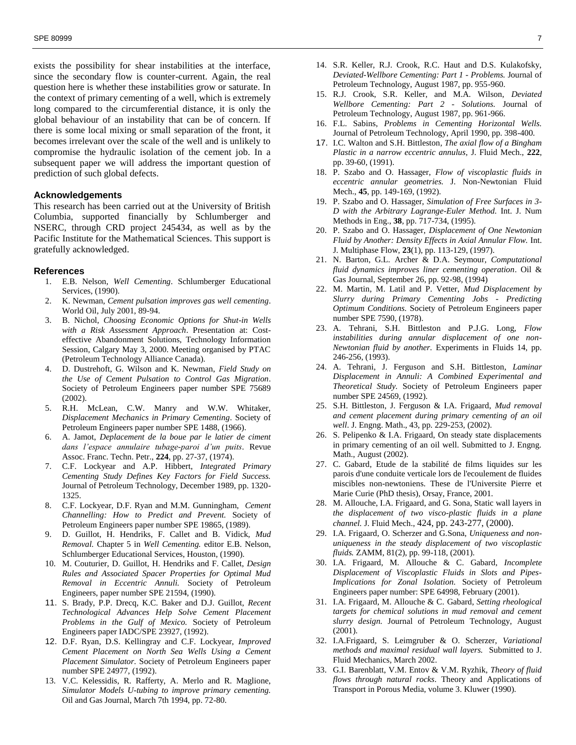exists the possibility for shear instabilities at the interface, since the secondary flow is counter-current. Again, the real question here is whether these instabilities grow or saturate. In the context of primary cementing of a well, which is extremely long compared to the circumferential distance, it is only the global behaviour of an instability that can be of concern. If there is some local mixing or small separation of the front, it becomes irrelevant over the scale of the well and is unlikely to compromise the hydraulic isolation of the cement job. In a subsequent paper we will address the important question of prediction of such global defects.

# **Acknowledgements**

This research has been carried out at the University of British Columbia, supported financially by Schlumberger and NSERC, through CRD project 245434, as well as by the Pacific Institute for the Mathematical Sciences. This support is gratefully acknowledged.

### **References**

- 1. E.B. Nelson, *Well Cementing*. Schlumberger Educational Services, (1990).
- 2. K. Newman, *Cement pulsation improves gas well cementing*. World Oil, July 2001, 89-94.
- 3. B. Nichol, *Choosing Economic Options for Shut-in Wells with a Risk Assessment Approach*. Presentation at: Costeffective Abandonment Solutions, Technology Information Session, Calgary May 3, 2000. Meeting organised by PTAC (Petroleum Technology Alliance Canada).
- 4. D. Dustrehoft, G. Wilson and K. Newman, *Field Study on the Use of Cement Pulsation to Control Gas Migration*. Society of Petroleum Engineers paper number SPE 75689 (2002).
- 5. R.H. McLean, C.W. Manry and W.W. Whitaker, *Displacement Mechanics in Primary Cementing*. Society of Petroleum Engineers paper number SPE 1488, (1966).
- 6. A. Jamot, *Deplacement de la boue par le latier de ciment dans l'espace annulaire tubage-paroi d'un puits*. Revue Assoc. Franc. Techn. Petr., **224**, pp. 27-37, (1974).
- 7. C.F. Lockyear and A.P. Hibbert, *Integrated Primary Cementing Study Defines Key Factors for Field Success.*  Journal of Petroleum Technology, December 1989, pp. 1320- 1325.
- 8. C.F. Lockyear, D.F. Ryan and M.M. Gunningham, *Cement Channelling: How to Predict and Prevent.* Society of Petroleum Engineers paper number SPE 19865, (1989).
- 9. D. Guillot, H. Hendriks, F. Callet and B. Vidick, *Mud Removal.* Chapter 5 in *Well Cementing.* editor E.B. Nelson, Schlumberger Educational Services, Houston, (1990).
- 10. M. Couturier, D. Guillot, H. Hendriks and F. Callet, *Design Rules and Associated Spacer Properties for Optimal Mud Removal in Eccentric Annuli.* Society of Petroleum Engineers, paper number SPE 21594, (1990).
- 11. S. Brady, P.P. Drecq, K.C. Baker and D.J. Guillot, *Recent Technological Advances Help Solve Cement Placement Problems in the Gulf of Mexico.* Society of Petroleum Engineers paper IADC/SPE 23927, (1992).
- 12. D.F. Ryan, D.S. Kellingray and C.F. Lockyear, *Improved Cement Placement on North Sea Wells Using a Cement Placement Simulator.* Society of Petroleum Engineers paper number SPE 24977, (1992).
- 13. V.C. Kelessidis, R. Rafferty, A. Merlo and R. Maglione, *Simulator Models U-tubing to improve primary cementing.*  Oil and Gas Journal, March 7th 1994, pp. 72-80.
- 14. S.R. Keller, R.J. Crook, R.C. Haut and D.S. Kulakofsky, *Deviated-Wellbore Cementing: Part 1 - Problems.* Journal of Petroleum Technology, August 1987, pp. 955-960.
- 15. R.J. Crook, S.R. Keller, and M.A. Wilson, *Deviated Wellbore Cementing: Part 2 - Solutions.* Journal of Petroleum Technology, August 1987, pp. 961-966.
- 16. F.L. Sabins, *Problems in Cementing Horizontal Wells.* Journal of Petroleum Technology, April 1990, pp. 398-400.
- 17. I.C. Walton and S.H. Bittleston*, The axial flow of a Bingham Plastic in a narrow eccentric annulus*, J. Fluid Mech., **222**, pp. 39-60, (1991).
- 18. P. Szabo and O. Hassager, *Flow of viscoplastic fluids in eccentric annular geometries.* J. Non-Newtonian Fluid Mech., **45**, pp. 149-169, (1992).
- 19. P. Szabo and O. Hassager, *Simulation of Free Surfaces in 3- D with the Arbitrary Lagrange-Euler Method.* Int. J. Num Methods in Eng., **38**, pp. 717-734, (1995).
- 20. P. Szabo and O. Hassager, *Displacement of One Newtonian Fluid by Another: Density Effects in Axial Annular Flow.* Int. J. Multiphase Flow, **23**(1), pp. 113-129, (1997).
- 21. N. Barton, G.L. Archer & D.A. Seymour, *Computational fluid dynamics improves liner cementing operation*. Oil & Gas Journal, September 26, pp. 92-98, (1994)
- 22. M. Martin, M. Latil and P. Vetter, *Mud Displacement by Slurry during Primary Cementing Jobs - Predicting Optimum Conditions.* Society of Petroleum Engineers paper number SPE 7590, (1978).
- 23. A. Tehrani, S.H. Bittleston and P.J.G. Long, *Flow instabilities during annular displacement of one non-Newtonian fluid by another.* Experiments in Fluids 14, pp. 246-256, (1993).
- 24. A. Tehrani, J. Ferguson and S.H. Bittleston, *Laminar Displacement in Annuli: A Combined Experimental and Theoretical Study.* Society of Petroleum Engineers paper number SPE 24569, (1992).
- 25. S.H. Bittleston, J. Ferguson & I.A. Frigaard, *Mud removal and cement placement during primary cementing of an oil well*. J. Engng. Math., 43, pp. 229-253, (2002).
- 26. S. Pelipenko & I.A. Frigaard, On steady state displacements in primary cementing of an oil well. Submitted to J. Engng. Math., August (2002).
- 27. C. Gabard, Etude de la stabilité de films liquides sur les parois d'une conduite verticale lors de l'ecoulement de fluides miscibles non-newtoniens. These de l'Universite Pierre et Marie Curie (PhD thesis), Orsay, France, 2001.
- 28. M. Allouche, I.A. Frigaard, and G. Sona, Static wall layers in *the displacement of two visco-plastic fluids in a plane channel.* J. Fluid Mech., 424, pp. 243-277, (2000).
- 29. I.A. Frigaard, O. Scherzer and G.Sona, *Uniqueness and nonuniqueness in the steady displacement of two viscoplastic fluids.* ZAMM, 81(2), pp. 99-118, (2001).
- 30. I.A. Frigaard, M. Allouche & C. Gabard, *Incomplete Displacement of Viscoplastic Fluids in Slots and Pipes-Implications for Zonal Isolation.* Society of Petroleum Engineers paper number: SPE 64998, February (2001).
- 31. I.A. Frigaard, M. Allouche & C. Gabard, *Setting rheological targets for chemical solutions in mud removal and cement slurry design.* Journal of Petroleum Technology, August (2001).
- 32. I.A.Frigaard, S. Leimgruber & O. Scherzer, *Variational methods and maximal residual wall layers.* Submitted to J. Fluid Mechanics, March 2002.
- 33. G.I. Barenblatt, V.M. Entov & V.M. Ryzhik, *Theory of fluid flows through natural rocks*. Theory and Applications of Transport in Porous Media, volume 3. Kluwer (1990).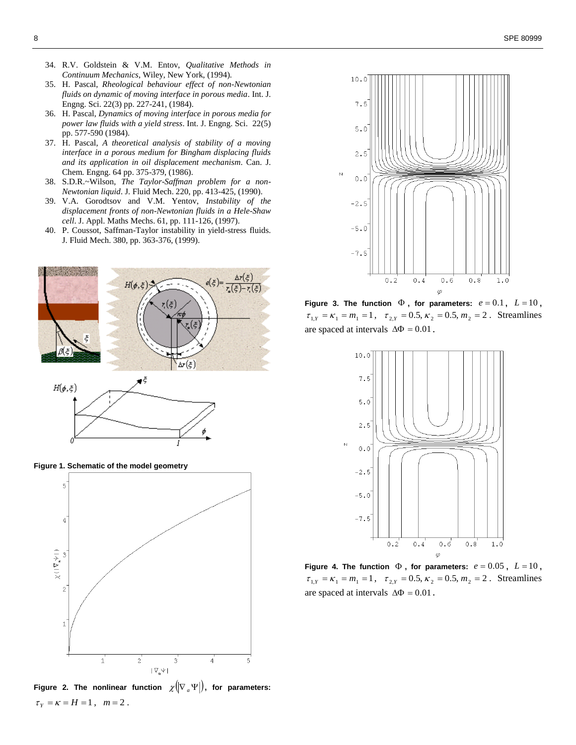- 34. R.V. Goldstein & V.M. Entov, *Qualitative Methods in Continuum Mechanics*, Wiley, New York, (1994).
- 35. H. Pascal, *Rheological behaviour effect of non-Newtonian fluids on dynamic of moving interface in porous media*. Int. J. Engng. Sci. 22(3) pp. 227-241, (1984).
- 36. H. Pascal, *Dynamics of moving interface in porous media for power law fluids with a yield stress*. Int. J. Engng. Sci. 22(5) pp. 577-590 (1984).
- 37. H. Pascal, *A theoretical analysis of stability of a moving interface in a porous medium for Bingham displacing fluids and its application in oil displacement mechanism*. Can. J. Chem. Engng. 64 pp. 375-379, (1986).
- 38. S.D.R.~Wilson, *The Taylor-Saffman problem for a non-Newtonian liquid*. J. Fluid Mech. 220, pp. 413-425, (1990).
- 39. V.A. Gorodtsov and V.M. Yentov, *Instability of the displacement fronts of non-Newtonian fluids in a Hele-Shaw cell*. J. Appl. Maths Mechs. 61, pp. 111-126, (1997).
- 40. P. Coussot, Saffman-Taylor instability in yield-stress fluids. J. Fluid Mech. 380, pp. 363-376, (1999).



**Figure 1. Schematic of the model geometry**



Figure 2. The nonlinear function  $\ \chi(\nabla_{_{a}}\Psi|)$ , for parameters:  $\tau_Y = \kappa = H = 1$ ,  $m = 2$ .



**Figure 3. The function**  $\Phi$ **, for parameters:**  $e = 0.1$ ,  $L = 10$ ,  $\tau_{1,Y} = \kappa_1 = m_1 = 1$ ,  $\tau_{2,Y} = 0.5$ ,  $\kappa_2 = 0.5$ ,  $m_2 = 2$ . Streamlines are spaced at intervals  $\Delta \Phi = 0.01$ .



**Figure 4. The function**  $\Phi$  **, for parameters:**  $e = 0.05$  **,**  $L = 10$  **,**  $\tau_{1,Y} = \kappa_1 = m_1 = 1$ ,  $\tau_{2,Y} = 0.5$ ,  $\kappa_2 = 0.5$ ,  $m_2 = 2$ . Streamlines are spaced at intervals  $\Delta \Phi = 0.01$ .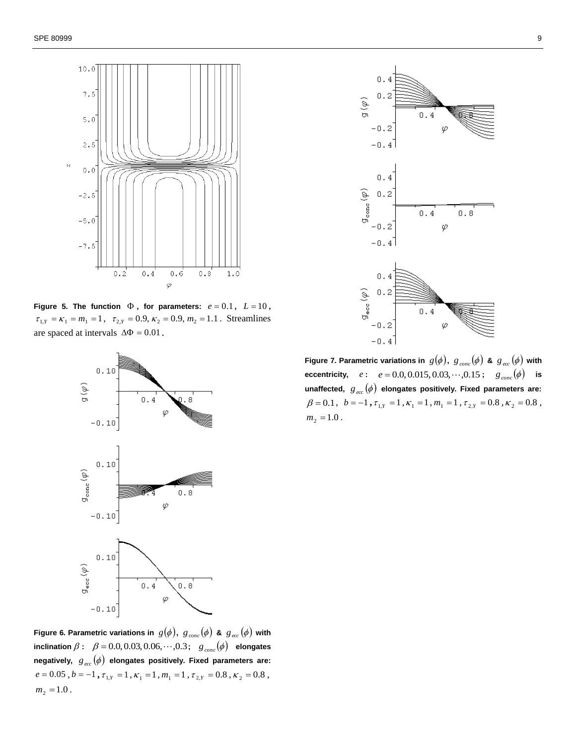

**Figure 5. The function**  $\Phi$ **, for parameters:**  $e = 0.1$ ,  $L = 10$ ,  $\tau_{1,Y} = \kappa_1 = m_1 = 1$ ,  $\tau_{2,Y} = 0.9$ ,  $\kappa_2 = 0.9$ ,  $m_2 = 1.1$ . Streamlines are spaced at intervals  $\Delta \Phi = 0.01$ .



Figure 6. Parametric variations in  $\ _{g}(\phi)$ ,  $\ _{g_{\ cone}}(\phi)$  &  $\ _{g_{\ vec}}(\phi)$  with  $\textsf{inclination}\ \beta:\ \ \beta\!=\!0.0, 0.03, 0.06, \cdots\!, 0.3;\ \ \ g_{\textit{conc}}(\phi)\ \ \textsf{elongates}$ negatively,  $\left\| g_{_{ecc}}(\phi) \right\|$  elongates positively. Fixed parameters are:  $e = 0.05$  ,  $b = -1$  ,  $\tau_{1,Y} = 1$  ,  $\kappa_1 = 1$  ,  $m_1 = 1$  ,  $\tau_{2,Y} = 0.8$  ,  $\kappa_2 = 0.8$  ,  $m_2 = 1.0$ .



Figure 7. Parametric variations in  $_{g}(\phi)$ ,  $_{g_{\; conc}}(\phi)$  &  $_{g_{\; ecc}}(\phi)$  with **eccentricity,**  $e: e = 0.0, 0.015, 0.03, \cdots, 0.15; g_{\text{conc}}(\phi)$  is unaffected,  $\ _{g_{\,ecc}}(\phi)$  elongates positively. Fixed parameters are:  $\beta = 0.1, b = -1, \tau_{1,Y} = 1, \kappa_1 = 1, m_1 = 1, \tau_{2,Y} = 0.8, \kappa_2 = 0.8$ ,  $m_2 = 1.0$ .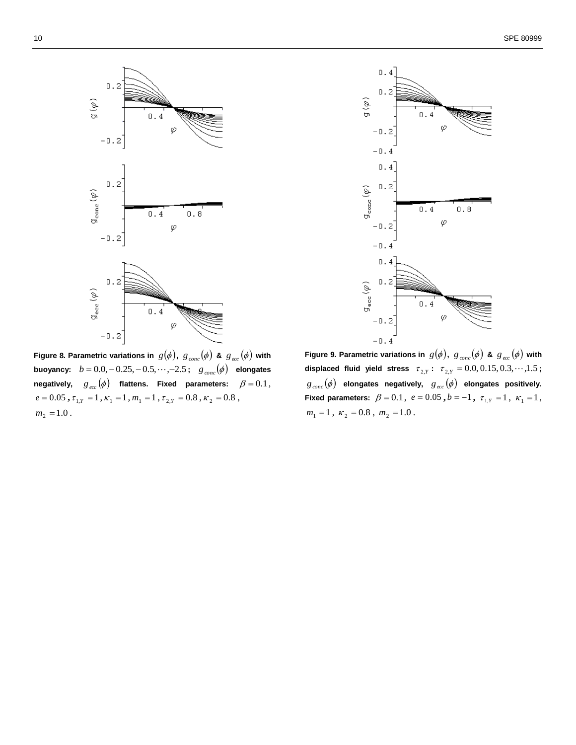

Figure 8. Parametric variations in  $\ _{g}(\phi)$ ,  $\ _{g_{\ cone}}(\phi)$  &  $\ _{g_{\ vec}}(\phi)$  with **buoyancy:**  $b = 0.0, -0.25, -0.5, \cdots, -2.5$ ;  $g_{\text{conc}}(\phi)$  elongates **negatively,**   $g_{_{ecc}}(\phi)$  flattens. Fixed parameters:  $\beta = 0.1$ ,  $e = 0.05$  ,  $\tau_{1,Y} = 1$  ,  $\kappa_1 = 1$  ,  $m_1 = 1$  ,  $\tau_{2,Y} = 0.8$  ,  $\kappa_2 = 0.8$  ,  $m_2 = 1.0$ .



Figure 9. Parametric variations in  $_{g}(\phi)$ ,  $_{g_{\; conc}}(\phi)$  &  $_{g_{\; ecc}}(\phi)$  with displaced fluid yield stress  $\tau_{2,Y}$ :  $\tau_{2,Y} = 0.0, 0.15, 0.3, \cdots, 1.5$ ;  $g_{\textit{conc}}(\phi)$  elongates negatively,  $g_{\textit{ecc}}(\phi)$  elongates positively. **Fixed parameters:**  $\beta = 0.1$ ,  $e = 0.05$ ,  $b = -1$ ,  $\tau_{1,Y} = 1$ ,  $\kappa_1 = 1$ ,  $m_1 = 1, \; \kappa_2 = 0.8, \; m_2 = 1.0$ .